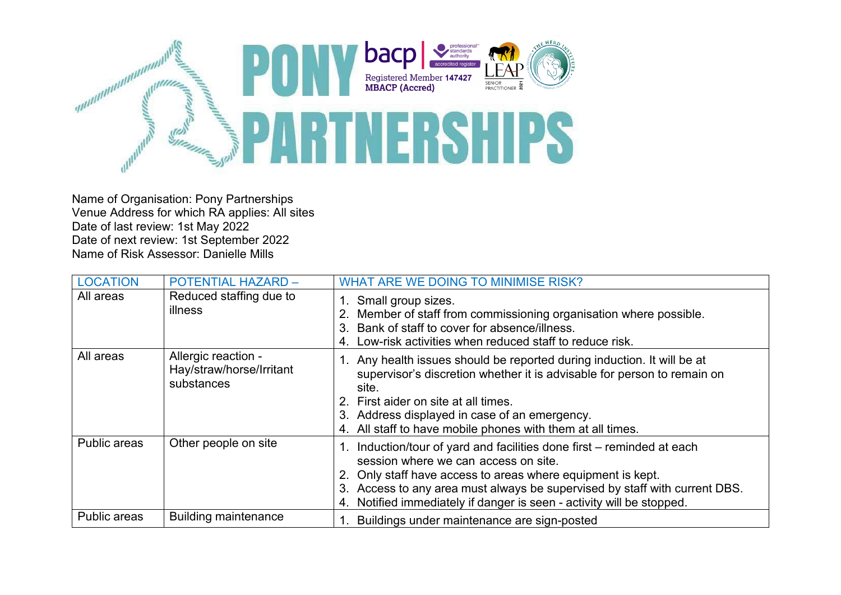

Name of Organisation: Pony Partnerships Venue Address for which RA applies: All sites Date of last review: 1st May 2022 Date of next review: 1st September 2022 Name of Risk Assessor: Danielle Mills

| <b>LOCATION</b> | <b>POTENTIAL HAZARD -</b>                                     | <b>WHAT ARE WE DOING TO MINIMISE RISK?</b>                                                                                                                                                                                                                                                                                              |
|-----------------|---------------------------------------------------------------|-----------------------------------------------------------------------------------------------------------------------------------------------------------------------------------------------------------------------------------------------------------------------------------------------------------------------------------------|
| All areas       | Reduced staffing due to<br>illness                            | 1. Small group sizes.<br>Member of staff from commissioning organisation where possible.<br>2.<br>Bank of staff to cover for absence/illness.<br>3.<br>Low-risk activities when reduced staff to reduce risk.<br>4.                                                                                                                     |
| All areas       | Allergic reaction -<br>Hay/straw/horse/Irritant<br>substances | 1. Any health issues should be reported during induction. It will be at<br>supervisor's discretion whether it is advisable for person to remain on<br>site.<br>2. First aider on site at all times.<br>Address displayed in case of an emergency.<br>3.<br>4. All staff to have mobile phones with them at all times.                   |
| Public areas    | Other people on site                                          | 1. Induction/tour of yard and facilities done first - reminded at each<br>session where we can access on site.<br>Only staff have access to areas where equipment is kept.<br>Access to any area must always be supervised by staff with current DBS.<br>3.<br>Notified immediately if danger is seen - activity will be stopped.<br>4. |
| Public areas    | <b>Building maintenance</b>                                   | Buildings under maintenance are sign-posted                                                                                                                                                                                                                                                                                             |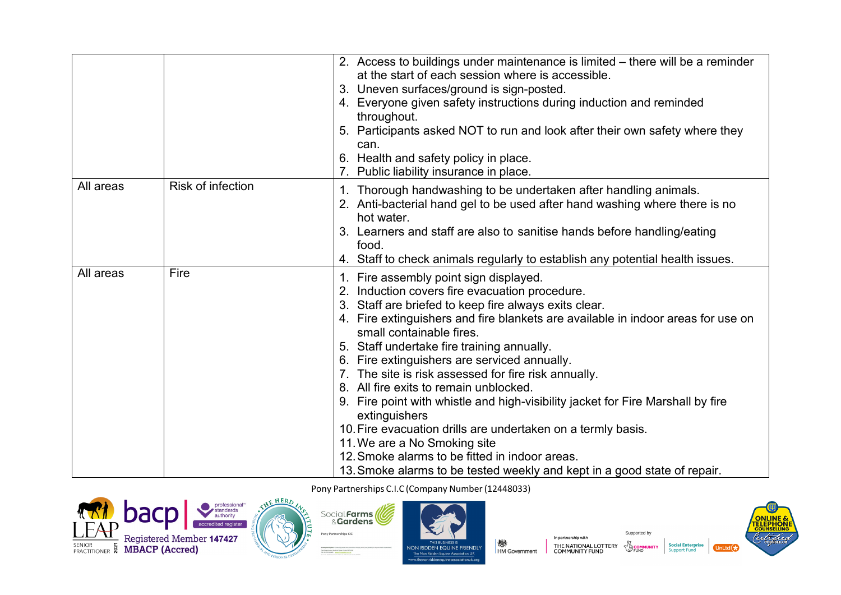|           |                          | 2. Access to buildings under maintenance is limited – there will be a reminder<br>at the start of each session where is accessible. |
|-----------|--------------------------|-------------------------------------------------------------------------------------------------------------------------------------|
|           |                          |                                                                                                                                     |
|           |                          | 3. Uneven surfaces/ground is sign-posted.                                                                                           |
|           |                          | 4. Everyone given safety instructions during induction and reminded                                                                 |
|           |                          | throughout.                                                                                                                         |
|           |                          | 5. Participants asked NOT to run and look after their own safety where they<br>can.                                                 |
|           |                          | 6. Health and safety policy in place.                                                                                               |
|           |                          | 7. Public liability insurance in place.                                                                                             |
| All areas | <b>Risk of infection</b> | Thorough handwashing to be undertaken after handling animals.<br>1.                                                                 |
|           |                          | 2. Anti-bacterial hand gel to be used after hand washing where there is no<br>hot water.                                            |
|           |                          | 3. Learners and staff are also to sanitise hands before handling/eating                                                             |
|           |                          | food.                                                                                                                               |
|           |                          | 4. Staff to check animals regularly to establish any potential health issues.                                                       |
| All areas | Fire                     | 1. Fire assembly point sign displayed.                                                                                              |
|           |                          | Induction covers fire evacuation procedure.                                                                                         |
|           |                          | 3. Staff are briefed to keep fire always exits clear.                                                                               |
|           |                          | 4. Fire extinguishers and fire blankets are available in indoor areas for use on                                                    |
|           |                          | small containable fires.                                                                                                            |
|           |                          | 5. Staff undertake fire training annually.                                                                                          |
|           |                          | 6. Fire extinguishers are serviced annually.                                                                                        |
|           |                          | 7. The site is risk assessed for fire risk annually.                                                                                |
|           |                          | 8. All fire exits to remain unblocked.                                                                                              |
|           |                          | 9. Fire point with whistle and high-visibility jacket for Fire Marshall by fire                                                     |
|           |                          | extinguishers                                                                                                                       |
|           |                          | 10. Fire evacuation drills are undertaken on a termly basis.                                                                        |
|           |                          | 11. We are a No Smoking site                                                                                                        |
|           |                          | 12. Smoke alarms to be fitted in indoor areas.                                                                                      |
|           |                          | 13. Smoke alarms to be tested weekly and kept in a good state of repair.                                                            |







In partnership with ॑<br>HM Government THE NATIONAL LOTTERY<br>COMMUNITY FUND



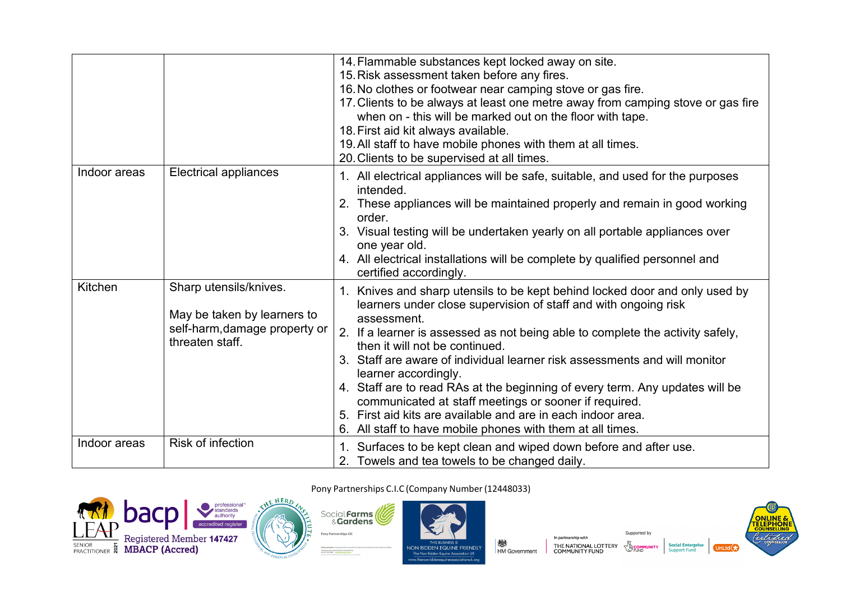|              |                                                                                                           | 14. Flammable substances kept locked away on site.<br>15. Risk assessment taken before any fires.<br>16. No clothes or footwear near camping stove or gas fire.<br>17. Clients to be always at least one metre away from camping stove or gas fire<br>when on - this will be marked out on the floor with tape.<br>18. First aid kit always available.<br>19. All staff to have mobile phones with them at all times.<br>20. Clients to be supervised at all times.                                                                                                                                                                                                  |
|--------------|-----------------------------------------------------------------------------------------------------------|----------------------------------------------------------------------------------------------------------------------------------------------------------------------------------------------------------------------------------------------------------------------------------------------------------------------------------------------------------------------------------------------------------------------------------------------------------------------------------------------------------------------------------------------------------------------------------------------------------------------------------------------------------------------|
| Indoor areas | Electrical appliances                                                                                     | 1. All electrical appliances will be safe, suitable, and used for the purposes<br>intended.<br>2. These appliances will be maintained properly and remain in good working<br>order.<br>3. Visual testing will be undertaken yearly on all portable appliances over<br>one year old.<br>4. All electrical installations will be complete by qualified personnel and<br>certified accordingly.                                                                                                                                                                                                                                                                         |
| Kitchen      | Sharp utensils/knives.<br>May be taken by learners to<br>self-harm, damage property or<br>threaten staff. | Knives and sharp utensils to be kept behind locked door and only used by<br>1.<br>learners under close supervision of staff and with ongoing risk<br>assessment.<br>2. If a learner is assessed as not being able to complete the activity safely,<br>then it will not be continued.<br>3. Staff are aware of individual learner risk assessments and will monitor<br>learner accordingly.<br>4. Staff are to read RAs at the beginning of every term. Any updates will be<br>communicated at staff meetings or sooner if required.<br>First aid kits are available and are in each indoor area.<br>5.<br>6. All staff to have mobile phones with them at all times. |
| Indoor areas | Risk of infection                                                                                         | 1. Surfaces to be kept clean and wiped down before and after use.<br>2. Towels and tea towels to be changed daily.                                                                                                                                                                                                                                                                                                                                                                                                                                                                                                                                                   |

### professional™<br>standards<br>authority bacp **KAT** accredited regis **LETTE Registered Member 147427**<br>
PRACTITIONER **& MBACP (Accred)**



Pony Partnerships C.I.C (Company Number(12448033)



In partnership with **楼**<br>HM Government THE NATIONAL LOTTERY<br>COMMUNITY FUND



**Social Enterprise**<br>Support Fund

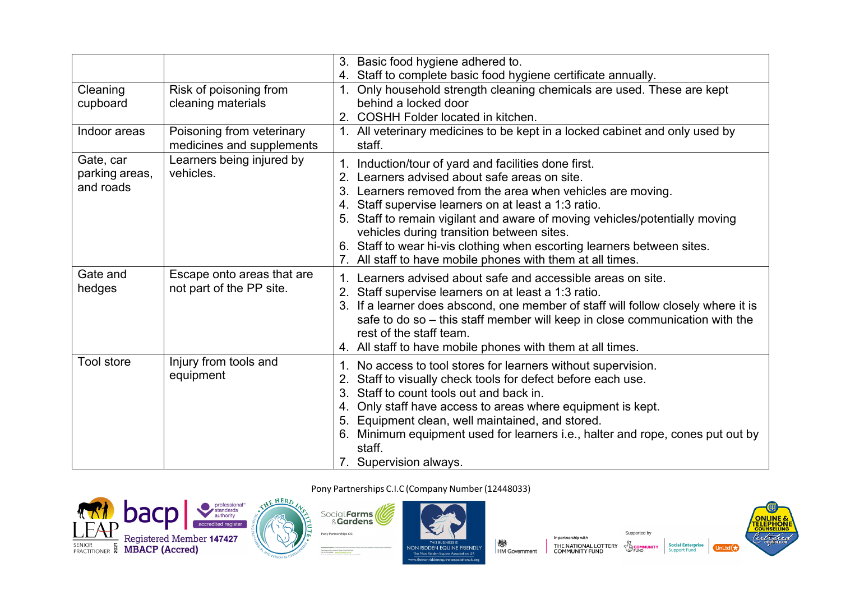|                                          |                                                        | 3. Basic food hygiene adhered to.<br>Staff to complete basic food hygiene certificate annually.<br>4.                                                                                                                                                                                                                                                                                                                                                                                                |
|------------------------------------------|--------------------------------------------------------|------------------------------------------------------------------------------------------------------------------------------------------------------------------------------------------------------------------------------------------------------------------------------------------------------------------------------------------------------------------------------------------------------------------------------------------------------------------------------------------------------|
| Cleaning<br>cupboard                     | Risk of poisoning from<br>cleaning materials           | 1. Only household strength cleaning chemicals are used. These are kept<br>behind a locked door<br>2. COSHH Folder located in kitchen.                                                                                                                                                                                                                                                                                                                                                                |
| Indoor areas                             | Poisoning from veterinary<br>medicines and supplements | 1. All veterinary medicines to be kept in a locked cabinet and only used by<br>staff.                                                                                                                                                                                                                                                                                                                                                                                                                |
| Gate, car<br>parking areas,<br>and roads | Learners being injured by<br>vehicles.                 | 1. Induction/tour of yard and facilities done first.<br>Learners advised about safe areas on site.<br>2.<br>3. Learners removed from the area when vehicles are moving.<br>4. Staff supervise learners on at least a 1:3 ratio.<br>5. Staff to remain vigilant and aware of moving vehicles/potentially moving<br>vehicles during transition between sites.<br>6. Staff to wear hi-vis clothing when escorting learners between sites.<br>7. All staff to have mobile phones with them at all times. |
| Gate and<br>hedges                       | Escape onto areas that are<br>not part of the PP site. | Learners advised about safe and accessible areas on site.<br>$1_{-}$<br>2. Staff supervise learners on at least a 1:3 ratio.<br>3. If a learner does abscond, one member of staff will follow closely where it is<br>safe to do so – this staff member will keep in close communication with the<br>rest of the staff team.<br>4. All staff to have mobile phones with them at all times.                                                                                                            |
| <b>Tool store</b>                        | Injury from tools and<br>equipment                     | No access to tool stores for learners without supervision.<br>1.<br>Staff to visually check tools for defect before each use.<br>Staff to count tools out and back in.<br>3.<br>Only staff have access to areas where equipment is kept.<br>4.<br>Equipment clean, well maintained, and stored.<br>5.<br>6. Minimum equipment used for learners i.e., halter and rope, cones put out by<br>staff.<br>7. Supervision always.                                                                          |

professional™<br>standards<br>authority bacp **KAT** accredited regis **LETTE Registered Member 147427**<br>
PRACTITIONER **& MBACP (Accred)** 





Pony Partnerships C.I.C (Company Number(12448033)





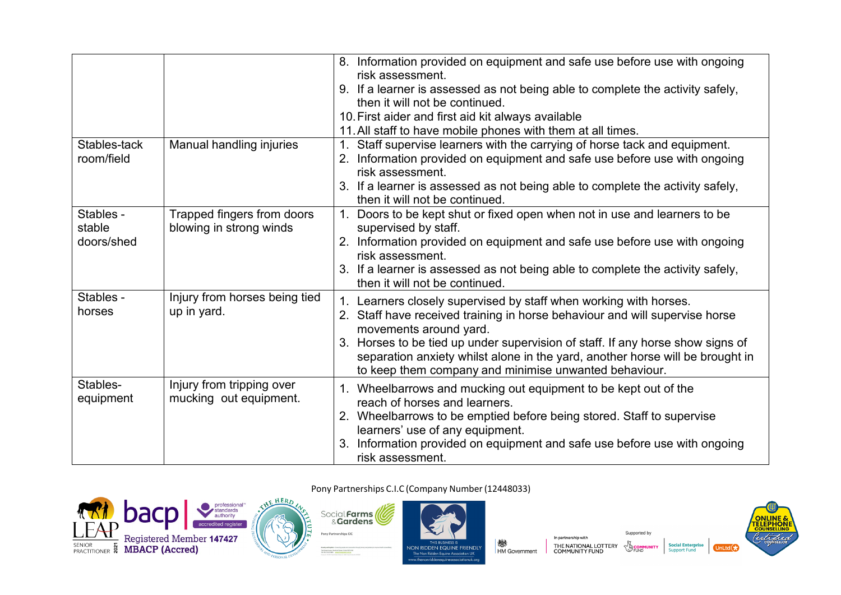|                                   |                                                       | 8. Information provided on equipment and safe use before use with ongoing<br>risk assessment.<br>9. If a learner is assessed as not being able to complete the activity safely,<br>then it will not be continued.<br>10. First aider and first aid kit always available<br>11. All staff to have mobile phones with them at all times.                                                              |
|-----------------------------------|-------------------------------------------------------|-----------------------------------------------------------------------------------------------------------------------------------------------------------------------------------------------------------------------------------------------------------------------------------------------------------------------------------------------------------------------------------------------------|
| Stables-tack<br>room/field        | Manual handling injuries                              | Staff supervise learners with the carrying of horse tack and equipment.<br>Information provided on equipment and safe use before use with ongoing<br>2.<br>risk assessment.<br>3. If a learner is assessed as not being able to complete the activity safely,<br>then it will not be continued.                                                                                                     |
| Stables -<br>stable<br>doors/shed | Trapped fingers from doors<br>blowing in strong winds | Doors to be kept shut or fixed open when not in use and learners to be<br>$1_{-}$<br>supervised by staff.<br>2. Information provided on equipment and safe use before use with ongoing<br>risk assessment.<br>3. If a learner is assessed as not being able to complete the activity safely,<br>then it will not be continued.                                                                      |
| Stables -<br>horses               | Injury from horses being tied<br>up in yard.          | 1. Learners closely supervised by staff when working with horses.<br>Staff have received training in horse behaviour and will supervise horse<br>movements around yard.<br>3. Horses to be tied up under supervision of staff. If any horse show signs of<br>separation anxiety whilst alone in the yard, another horse will be brought in<br>to keep them company and minimise unwanted behaviour. |
| Stables-<br>equipment             | Injury from tripping over<br>mucking out equipment.   | Wheelbarrows and mucking out equipment to be kept out of the<br>1.<br>reach of horses and learners.<br>2. Wheelbarrows to be emptied before being stored. Staff to supervise<br>learners' use of any equipment.<br>Information provided on equipment and safe use before use with ongoing<br>3.<br>risk assessment.                                                                                 |





Falir

Pony Partnerships CIC

The Greenthone, Hendi<br>Tel: 0517 523 1800



ww.thenonridder

In partnership with ॑<br>HM Government THE NATIONAL LOTTERY<br>COMMUNITY FUND



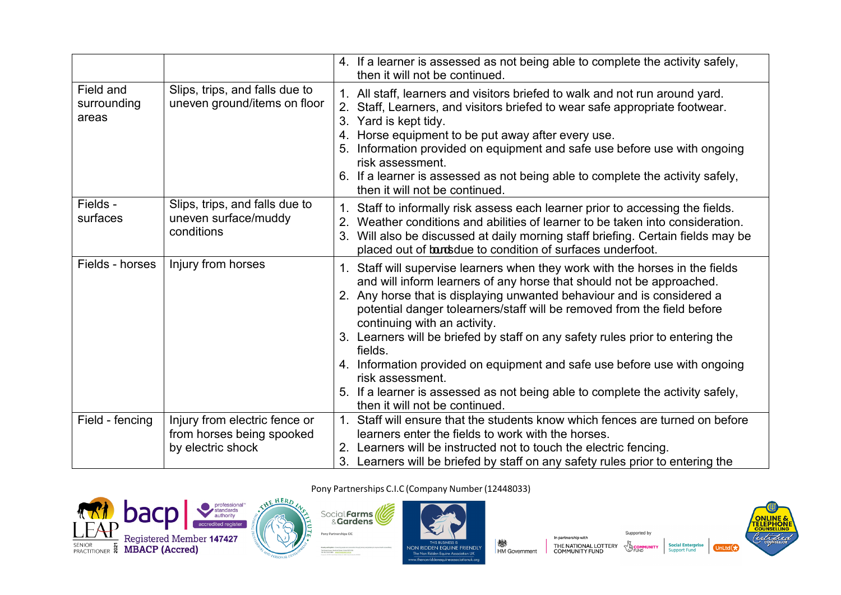|                                   |                                                                                 | 4. If a learner is assessed as not being able to complete the activity safely,<br>then it will not be continued.                                                                                                                                                                                                                                                                                                                                                                                                                                                                                                                                             |
|-----------------------------------|---------------------------------------------------------------------------------|--------------------------------------------------------------------------------------------------------------------------------------------------------------------------------------------------------------------------------------------------------------------------------------------------------------------------------------------------------------------------------------------------------------------------------------------------------------------------------------------------------------------------------------------------------------------------------------------------------------------------------------------------------------|
| Field and<br>surrounding<br>areas | Slips, trips, and falls due to<br>uneven ground/items on floor                  | 1. All staff, learners and visitors briefed to walk and not run around yard.<br>Staff, Learners, and visitors briefed to wear safe appropriate footwear.<br>3 <sub>1</sub><br>Yard is kept tidy.<br>Horse equipment to be put away after every use.<br>Information provided on equipment and safe use before use with ongoing<br>5.<br>risk assessment.<br>6. If a learner is assessed as not being able to complete the activity safely,<br>then it will not be continued.                                                                                                                                                                                  |
| Fields -<br>surfaces              | Slips, trips, and falls due to<br>uneven surface/muddy<br>conditions            | Staff to informally risk assess each learner prior to accessing the fields.<br>Weather conditions and abilities of learner to be taken into consideration.<br>2.<br>Will also be discussed at daily morning staff briefing. Certain fields may be<br>3.<br>placed out of bands due to condition of surfaces underfoot.                                                                                                                                                                                                                                                                                                                                       |
| Fields - horses                   | Injury from horses                                                              | 1. Staff will supervise learners when they work with the horses in the fields<br>and will inform learners of any horse that should not be approached.<br>2. Any horse that is displaying unwanted behaviour and is considered a<br>potential danger tolearners/staff will be removed from the field before<br>continuing with an activity.<br>3. Learners will be briefed by staff on any safety rules prior to entering the<br>fields.<br>4. Information provided on equipment and safe use before use with ongoing<br>risk assessment.<br>5. If a learner is assessed as not being able to complete the activity safely,<br>then it will not be continued. |
| Field - fencing                   | Injury from electric fence or<br>from horses being spooked<br>by electric shock | 1. Staff will ensure that the students know which fences are turned on before<br>learners enter the fields to work with the horses.<br>2. Learners will be instructed not to touch the electric fencing.<br>3. Learners will be briefed by staff on any safety rules prior to entering the                                                                                                                                                                                                                                                                                                                                                                   |









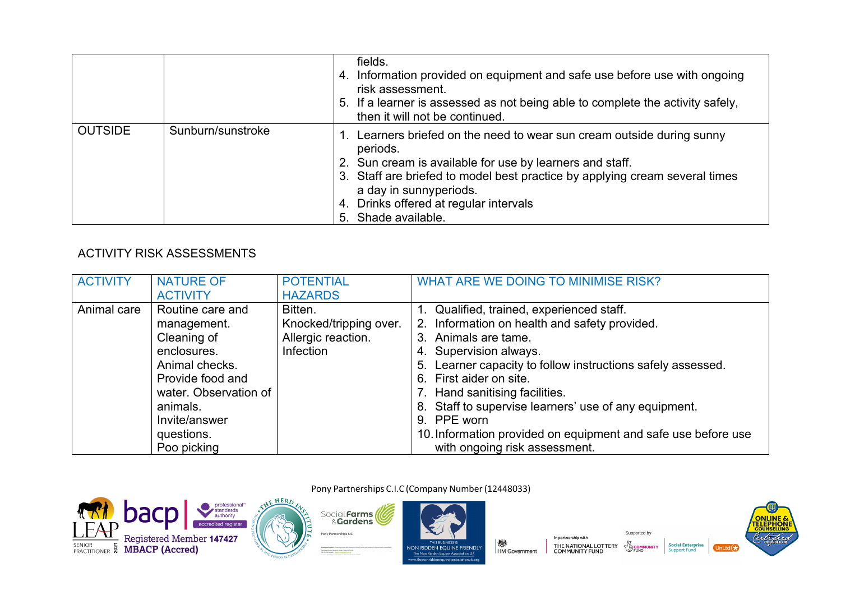|                |                   | fields.<br>4. Information provided on equipment and safe use before use with ongoing<br>risk assessment.<br>5. If a learner is assessed as not being able to complete the activity safely,<br>then it will not be continued.                                                                                             |
|----------------|-------------------|--------------------------------------------------------------------------------------------------------------------------------------------------------------------------------------------------------------------------------------------------------------------------------------------------------------------------|
| <b>OUTSIDE</b> | Sunburn/sunstroke | 1. Learners briefed on the need to wear sun cream outside during sunny<br>periods.<br>2. Sun cream is available for use by learners and staff.<br>3. Staff are briefed to model best practice by applying cream several times<br>a day in sunnyperiods.<br>4. Drinks offered at regular intervals<br>5. Shade available. |

## **ACTIVITY RISK ASSESSMENTS**

| <b>ACTIVITY</b> | <b>NATURE OF</b>      | <b>POTENTIAL</b>       | WHAT ARE WE DOING TO MINIMISE RISK?                           |
|-----------------|-----------------------|------------------------|---------------------------------------------------------------|
|                 | <b>ACTIVITY</b>       | <b>HAZARDS</b>         |                                                               |
| Animal care     | Routine care and      | Bitten.                | 1. Qualified, trained, experienced staff.                     |
|                 | management.           | Knocked/tripping over. | 2. Information on health and safety provided.                 |
|                 | Cleaning of           | Allergic reaction.     | 3. Animals are tame.                                          |
|                 | enclosures.           | Infection              | 4. Supervision always.                                        |
|                 | Animal checks.        |                        | 5. Learner capacity to follow instructions safely assessed.   |
|                 | Provide food and      |                        | 6. First aider on site.                                       |
|                 | water. Observation of |                        | 7. Hand sanitising facilities.                                |
|                 | animals.              |                        | 8. Staff to supervise learners' use of any equipment.         |
|                 | Invite/answer         |                        | 9. PPE worn                                                   |
|                 | questions.            |                        | 10. Information provided on equipment and safe use before use |
|                 | Poo picking           |                        | with ongoing risk assessment.                                 |

Pony Partnerships C.I.C (Company Number (12448033)





Social Farms

Pony Partnerships CIC

NON RIDDEN EQUINE FRIENDLY The Non Ridden Equine Association UK w.thenonridd

**楼**<br>HM Government

In partnership with THE NATIONAL LOTTERY<br>COMMUNITY FUND



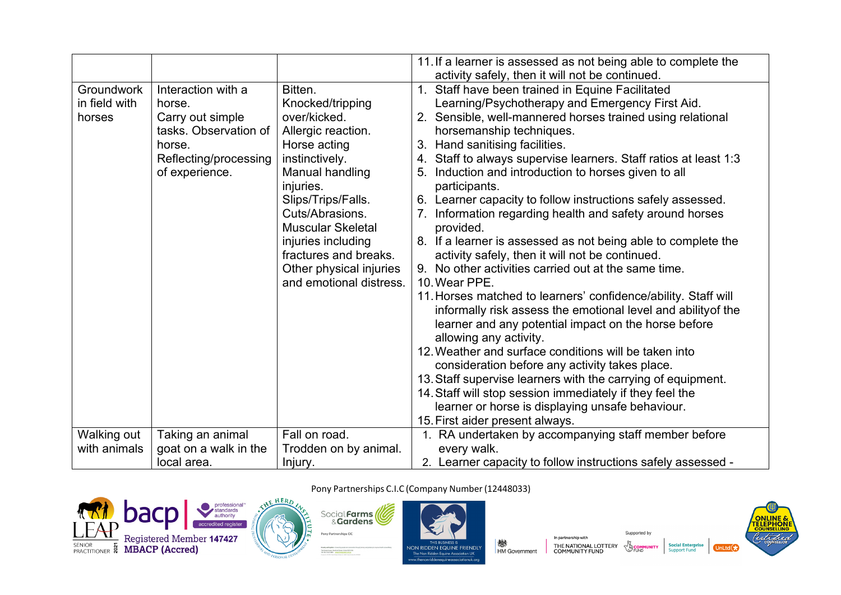|                                              |                                                                                                                                |                                                                                                                                                                                                                                                                                                               | 11. If a learner is assessed as not being able to complete the<br>activity safely, then it will not be continued.                                                                                                                                                                                                                                                                                                                                                                                                                                                                                                                                                                                                                                                                                                                                                                                                                                                                                                                                                                                                                                                                                                                                                    |
|----------------------------------------------|--------------------------------------------------------------------------------------------------------------------------------|---------------------------------------------------------------------------------------------------------------------------------------------------------------------------------------------------------------------------------------------------------------------------------------------------------------|----------------------------------------------------------------------------------------------------------------------------------------------------------------------------------------------------------------------------------------------------------------------------------------------------------------------------------------------------------------------------------------------------------------------------------------------------------------------------------------------------------------------------------------------------------------------------------------------------------------------------------------------------------------------------------------------------------------------------------------------------------------------------------------------------------------------------------------------------------------------------------------------------------------------------------------------------------------------------------------------------------------------------------------------------------------------------------------------------------------------------------------------------------------------------------------------------------------------------------------------------------------------|
| <b>Groundwork</b><br>in field with<br>horses | Interaction with a<br>horse.<br>Carry out simple<br>tasks. Observation of<br>horse.<br>Reflecting/processing<br>of experience. | Bitten.<br>Knocked/tripping<br>over/kicked.<br>Allergic reaction.<br>Horse acting<br>instinctively.<br>Manual handling<br>injuries.<br>Slips/Trips/Falls.<br>Cuts/Abrasions.<br><b>Muscular Skeletal</b><br>injuries including<br>fractures and breaks.<br>Other physical injuries<br>and emotional distress. | 1. Staff have been trained in Equine Facilitated<br>Learning/Psychotherapy and Emergency First Aid.<br>2. Sensible, well-mannered horses trained using relational<br>horsemanship techniques.<br>3. Hand sanitising facilities.<br>4. Staff to always supervise learners. Staff ratios at least 1:3<br>Induction and introduction to horses given to all<br>5.<br>participants.<br>6. Learner capacity to follow instructions safely assessed.<br>Information regarding health and safety around horses<br>provided.<br>8. If a learner is assessed as not being able to complete the<br>activity safely, then it will not be continued.<br>9. No other activities carried out at the same time.<br>10. Wear PPE.<br>11. Horses matched to learners' confidence/ability. Staff will<br>informally risk assess the emotional level and ability of the<br>learner and any potential impact on the horse before<br>allowing any activity.<br>12. Weather and surface conditions will be taken into<br>consideration before any activity takes place.<br>13. Staff supervise learners with the carrying of equipment.<br>14. Staff will stop session immediately if they feel the<br>learner or horse is displaying unsafe behaviour.<br>15. First aider present always. |
| Walking out                                  | Taking an animal                                                                                                               | Fall on road.                                                                                                                                                                                                                                                                                                 | 1. RA undertaken by accompanying staff member before                                                                                                                                                                                                                                                                                                                                                                                                                                                                                                                                                                                                                                                                                                                                                                                                                                                                                                                                                                                                                                                                                                                                                                                                                 |
| with animals                                 | goat on a walk in the                                                                                                          | Trodden on by animal.                                                                                                                                                                                                                                                                                         | every walk.                                                                                                                                                                                                                                                                                                                                                                                                                                                                                                                                                                                                                                                                                                                                                                                                                                                                                                                                                                                                                                                                                                                                                                                                                                                          |
|                                              | local area.                                                                                                                    | Injury.                                                                                                                                                                                                                                                                                                       | 2. Learner capacity to follow instructions safely assessed -                                                                                                                                                                                                                                                                                                                                                                                                                                                                                                                                                                                                                                                                                                                                                                                                                                                                                                                                                                                                                                                                                                                                                                                                         |





Pony Partnerships CIC

The Greenthuse, New



Pony Partnerships C.I.C (Company Number(12448033)

In partnership with **楼**<br>HM Government THE NATIONAL LOTTERY<br>COMMUNITY FUND



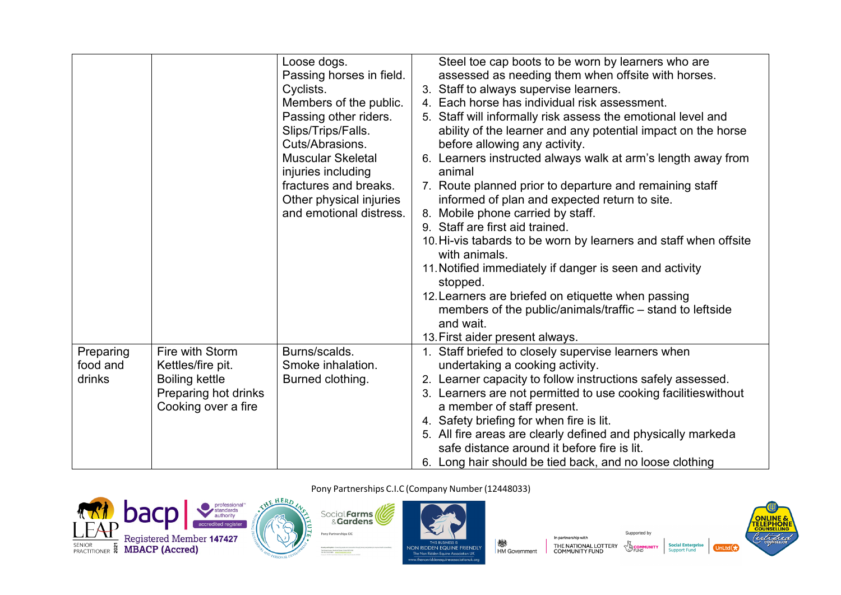|                       |                                      | Loose dogs.<br>Passing horses in field.<br>Cyclists.<br>Members of the public. | Steel toe cap boots to be worn by learners who are<br>assessed as needing them when offsite with horses.<br>3. Staff to always supervise learners.<br>4. Each horse has individual risk assessment. |
|-----------------------|--------------------------------------|--------------------------------------------------------------------------------|-----------------------------------------------------------------------------------------------------------------------------------------------------------------------------------------------------|
|                       |                                      | Passing other riders.<br>Slips/Trips/Falls.<br>Cuts/Abrasions.                 | 5. Staff will informally risk assess the emotional level and<br>ability of the learner and any potential impact on the horse<br>before allowing any activity.                                       |
|                       |                                      | <b>Muscular Skeletal</b><br>injuries including                                 | 6. Learners instructed always walk at arm's length away from<br>animal                                                                                                                              |
|                       |                                      | fractures and breaks.<br>Other physical injuries                               | 7. Route planned prior to departure and remaining staff<br>informed of plan and expected return to site.                                                                                            |
|                       |                                      | and emotional distress.                                                        | 8. Mobile phone carried by staff.<br>9. Staff are first aid trained.                                                                                                                                |
|                       |                                      |                                                                                | 10. Hi-vis tabards to be worn by learners and staff when offsite<br>with animals.                                                                                                                   |
|                       |                                      |                                                                                | 11. Notified immediately if danger is seen and activity<br>stopped.                                                                                                                                 |
|                       |                                      |                                                                                | 12. Learners are briefed on etiquette when passing<br>members of the public/animals/traffic – stand to leftside<br>and wait.                                                                        |
|                       |                                      |                                                                                | 13. First aider present always.                                                                                                                                                                     |
| Preparing<br>food and | Fire with Storm<br>Kettles/fire pit. | Burns/scalds.<br>Smoke inhalation.                                             | 1. Staff briefed to closely supervise learners when<br>undertaking a cooking activity.                                                                                                              |
| drinks                | <b>Boiling kettle</b>                | Burned clothing.                                                               | 2. Learner capacity to follow instructions safely assessed.                                                                                                                                         |
|                       | Preparing hot drinks                 |                                                                                | 3. Learners are not permitted to use cooking facilities without                                                                                                                                     |
|                       | Cooking over a fire                  |                                                                                | a member of staff present.                                                                                                                                                                          |
|                       |                                      |                                                                                | 4. Safety briefing for when fire is lit.<br>5. All fire areas are clearly defined and physically markeda                                                                                            |
|                       |                                      |                                                                                | safe distance around it before fire is lit.                                                                                                                                                         |
|                       |                                      |                                                                                | 6. Long hair should be tied back, and no loose clothing                                                                                                                                             |







ww.thenonridder

Pony Partnerships C.I.C (Company Number (12448033)

**楼**<br>HM Government





**NITY** 

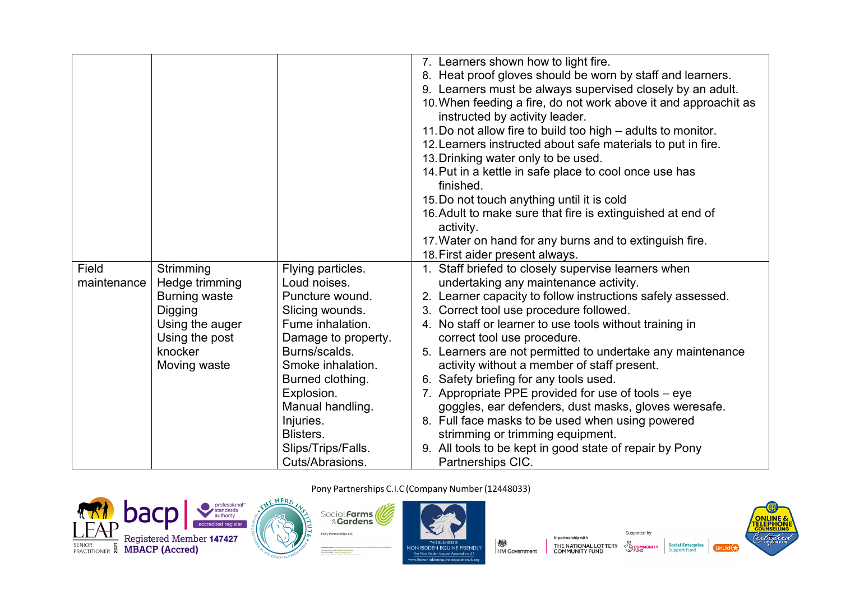|             |                      |                     | 7. Learners shown how to light fire.                            |
|-------------|----------------------|---------------------|-----------------------------------------------------------------|
|             |                      |                     | 8. Heat proof gloves should be worn by staff and learners.      |
|             |                      |                     | 9. Learners must be always supervised closely by an adult.      |
|             |                      |                     | 10. When feeding a fire, do not work above it and approachit as |
|             |                      |                     | instructed by activity leader.                                  |
|             |                      |                     | 11. Do not allow fire to build too high – adults to monitor.    |
|             |                      |                     |                                                                 |
|             |                      |                     | 12. Learners instructed about safe materials to put in fire.    |
|             |                      |                     | 13. Drinking water only to be used.                             |
|             |                      |                     | 14. Put in a kettle in safe place to cool once use has          |
|             |                      |                     | finished.                                                       |
|             |                      |                     | 15. Do not touch anything until it is cold                      |
|             |                      |                     | 16. Adult to make sure that fire is extinguished at end of      |
|             |                      |                     | activity.                                                       |
|             |                      |                     | 17. Water on hand for any burns and to extinguish fire.         |
|             |                      |                     | 18. First aider present always.                                 |
| Field       | Strimming            | Flying particles.   | 1. Staff briefed to closely supervise learners when             |
| maintenance | Hedge trimming       | Loud noises.        | undertaking any maintenance activity.                           |
|             | <b>Burning waste</b> | Puncture wound.     | 2. Learner capacity to follow instructions safely assessed.     |
|             | Digging              | Slicing wounds.     | 3. Correct tool use procedure followed.                         |
|             | Using the auger      | Fume inhalation.    | 4. No staff or learner to use tools without training in         |
|             | Using the post       | Damage to property. | correct tool use procedure.                                     |
|             | knocker              | Burns/scalds.       | 5. Learners are not permitted to undertake any maintenance      |
|             | Moving waste         | Smoke inhalation.   | activity without a member of staff present.                     |
|             |                      | Burned clothing.    | 6. Safety briefing for any tools used.                          |
|             |                      | Explosion.          | 7. Appropriate PPE provided for use of tools - eye              |
|             |                      | Manual handling.    | goggles, ear defenders, dust masks, gloves weresafe.            |
|             |                      | Injuries.           | 8. Full face masks to be used when using powered                |
|             |                      | Blisters.           | strimming or trimming equipment.                                |
|             |                      | Slips/Trips/Falls.  | 9. All tools to be kept in good state of repair by Pony         |
|             |                      | Cuts/Abrasions.     | Partnerships CIC.                                               |





ww.thenonridder

NON RIDDEN EQUINE FRIENDLY<br>The Non Ridden Equine Association UK

**楼**<br>HM Government

Supported by

**NITY** 



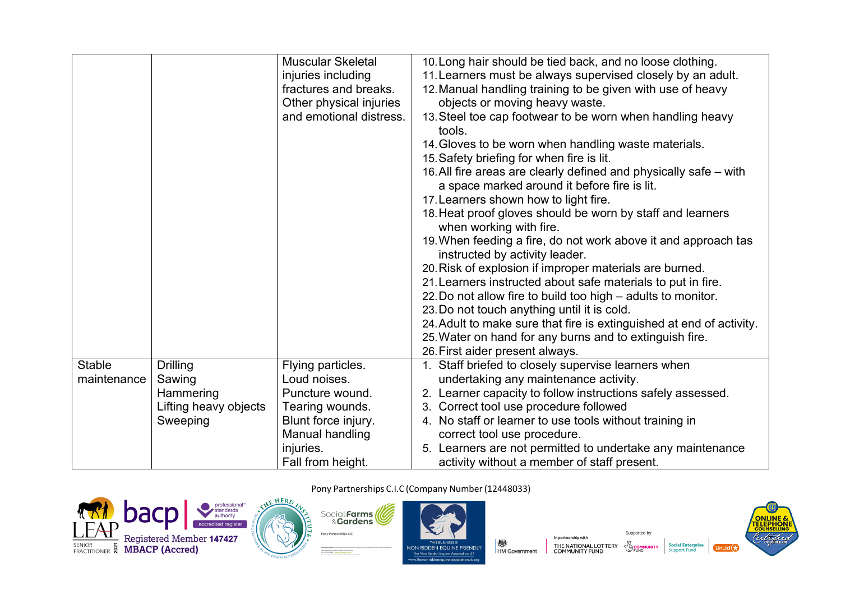|               |                       | <b>Muscular Skeletal</b> | 10. Long hair should be tied back, and no loose clothing.            |
|---------------|-----------------------|--------------------------|----------------------------------------------------------------------|
|               |                       | injuries including       | 11. Learners must be always supervised closely by an adult.          |
|               |                       | fractures and breaks.    | 12. Manual handling training to be given with use of heavy           |
|               |                       | Other physical injuries  | objects or moving heavy waste.                                       |
|               |                       | and emotional distress.  | 13. Steel toe cap footwear to be worn when handling heavy<br>tools.  |
|               |                       |                          | 14. Gloves to be worn when handling waste materials.                 |
|               |                       |                          |                                                                      |
|               |                       |                          | 15. Safety briefing for when fire is lit.                            |
|               |                       |                          | 16. All fire areas are clearly defined and physically safe – with    |
|               |                       |                          | a space marked around it before fire is lit.                         |
|               |                       |                          | 17. Learners shown how to light fire.                                |
|               |                       |                          | 18. Heat proof gloves should be worn by staff and learners           |
|               |                       |                          | when working with fire.                                              |
|               |                       |                          | 19. When feeding a fire, do not work above it and approach tas       |
|               |                       |                          | instructed by activity leader.                                       |
|               |                       |                          | 20. Risk of explosion if improper materials are burned.              |
|               |                       |                          | 21. Learners instructed about safe materials to put in fire.         |
|               |                       |                          | 22. Do not allow fire to build too high - adults to monitor.         |
|               |                       |                          | 23. Do not touch anything until it is cold.                          |
|               |                       |                          | 24. Adult to make sure that fire is extinguished at end of activity. |
|               |                       |                          | 25. Water on hand for any burns and to extinguish fire.              |
|               |                       |                          | 26. First aider present always.                                      |
| <b>Stable</b> | <b>Drilling</b>       | Flying particles.        | 1. Staff briefed to closely supervise learners when                  |
| maintenance   | Sawing                | Loud noises.             | undertaking any maintenance activity.                                |
|               | Hammering             | Puncture wound.          | 2. Learner capacity to follow instructions safely assessed.          |
|               | Lifting heavy objects | Tearing wounds.          | 3. Correct tool use procedure followed                               |
|               | Sweeping              | Blunt force injury.      | 4. No staff or learner to use tools without training in              |
|               |                       | Manual handling          | correct tool use procedure.                                          |
|               |                       | injuries.                | Learners are not permitted to undertake any maintenance              |
|               |                       | Fall from height.        | activity without a member of staff present.                          |







In partnership with **楼**<br>HM Government



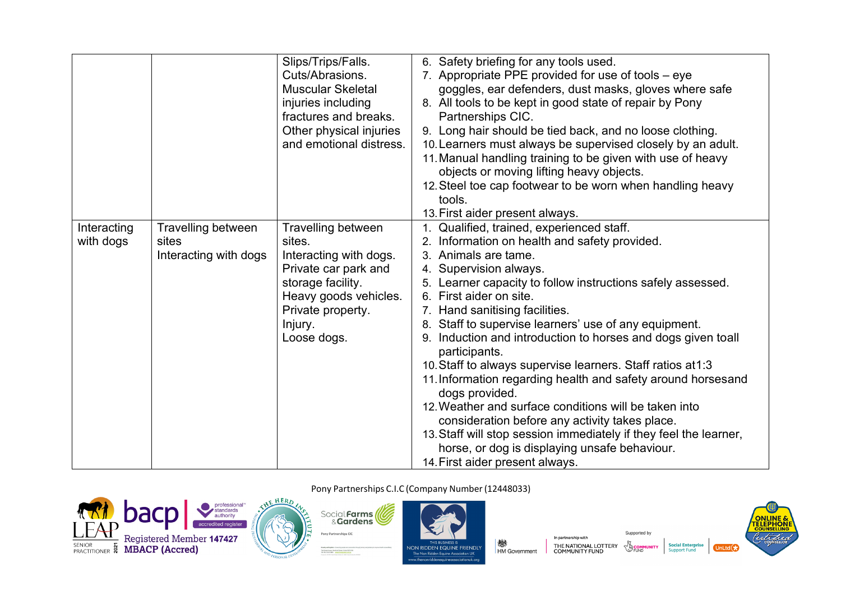|             |                       | Slips/Trips/Falls.       | 6. Safety briefing for any tools used.                                        |
|-------------|-----------------------|--------------------------|-------------------------------------------------------------------------------|
|             |                       | Cuts/Abrasions.          | 7. Appropriate PPE provided for use of tools – eye                            |
|             |                       | <b>Muscular Skeletal</b> | goggles, ear defenders, dust masks, gloves where safe                         |
|             |                       | injuries including       | 8. All tools to be kept in good state of repair by Pony                       |
|             |                       | fractures and breaks.    | Partnerships CIC.                                                             |
|             |                       | Other physical injuries  | 9. Long hair should be tied back, and no loose clothing.                      |
|             |                       | and emotional distress.  | 10. Learners must always be supervised closely by an adult.                   |
|             |                       |                          | 11. Manual handling training to be given with use of heavy                    |
|             |                       |                          | objects or moving lifting heavy objects.                                      |
|             |                       |                          | 12. Steel toe cap footwear to be worn when handling heavy                     |
|             |                       |                          | tools.                                                                        |
|             |                       |                          | 13. First aider present always.                                               |
| Interacting | Travelling between    | Travelling between       | 1. Qualified, trained, experienced staff.                                     |
| with dogs   | sites                 | sites.                   | 2. Information on health and safety provided.                                 |
|             | Interacting with dogs | Interacting with dogs.   | 3. Animals are tame.                                                          |
|             |                       | Private car park and     | 4. Supervision always.                                                        |
|             |                       | storage facility.        | 5. Learner capacity to follow instructions safely assessed.                   |
|             |                       | Heavy goods vehicles.    | 6. First aider on site.                                                       |
|             |                       | Private property.        | 7. Hand sanitising facilities.                                                |
|             |                       | Injury.                  | 8. Staff to supervise learners' use of any equipment.                         |
|             |                       | Loose dogs.              | 9. Induction and introduction to horses and dogs given toall<br>participants. |
|             |                       |                          | 10. Staff to always supervise learners. Staff ratios at 1:3                   |
|             |                       |                          | 11. Information regarding health and safety around horsesand                  |
|             |                       |                          | dogs provided.                                                                |
|             |                       |                          | 12. Weather and surface conditions will be taken into                         |
|             |                       |                          | consideration before any activity takes place.                                |
|             |                       |                          | 13. Staff will stop session immediately if they feel the learner,             |
|             |                       |                          | horse, or dog is displaying unsafe behaviour.                                 |
|             |                       |                          | 14. First aider present always.                                               |







In partnership with **楼**<br>HM Government THE NATIONAL LOTTERY<br>COMMUNITY FUND



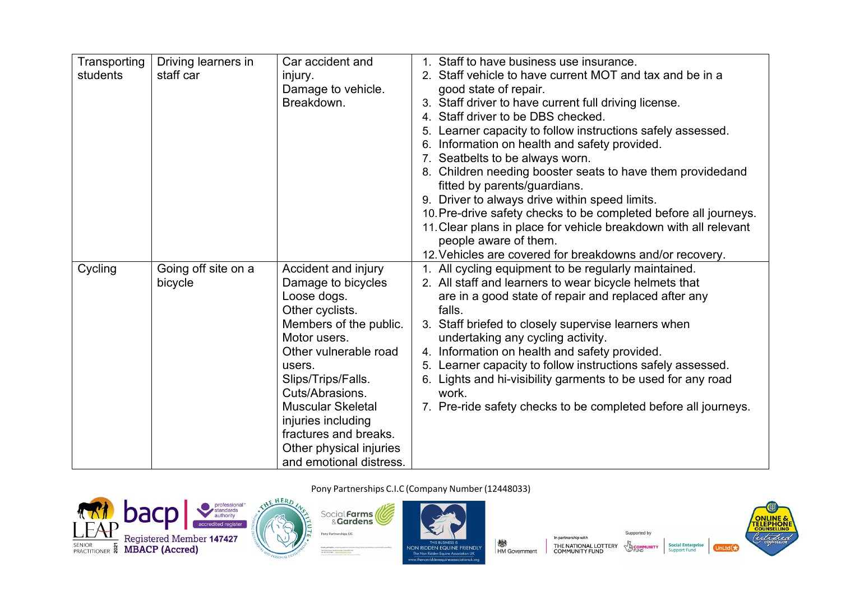| Transporting | Driving learners in | Car accident and         | 1. Staff to have business use insurance.                         |
|--------------|---------------------|--------------------------|------------------------------------------------------------------|
| students     | staff car           | injury.                  | 2. Staff vehicle to have current MOT and tax and be in a         |
|              |                     | Damage to vehicle.       | good state of repair.                                            |
|              |                     | Breakdown.               | 3. Staff driver to have current full driving license.            |
|              |                     |                          | 4. Staff driver to be DBS checked.                               |
|              |                     |                          | 5. Learner capacity to follow instructions safely assessed.      |
|              |                     |                          | 6. Information on health and safety provided.                    |
|              |                     |                          | 7. Seatbelts to be always worn.                                  |
|              |                     |                          | 8. Children needing booster seats to have them providedand       |
|              |                     |                          | fitted by parents/guardians.                                     |
|              |                     |                          | 9. Driver to always drive within speed limits.                   |
|              |                     |                          | 10. Pre-drive safety checks to be completed before all journeys. |
|              |                     |                          | 11. Clear plans in place for vehicle breakdown with all relevant |
|              |                     |                          | people aware of them.                                            |
|              |                     |                          | 12. Vehicles are covered for breakdowns and/or recovery.         |
| Cycling      | Going off site on a | Accident and injury      | 1. All cycling equipment to be regularly maintained.             |
|              | bicycle             | Damage to bicycles       | 2. All staff and learners to wear bicycle helmets that           |
|              |                     | Loose dogs.              | are in a good state of repair and replaced after any             |
|              |                     | Other cyclists.          | falls.                                                           |
|              |                     | Members of the public.   | 3. Staff briefed to closely supervise learners when              |
|              |                     | Motor users.             | undertaking any cycling activity.                                |
|              |                     | Other vulnerable road    | 4. Information on health and safety provided.                    |
|              |                     | users.                   | 5. Learner capacity to follow instructions safely assessed.      |
|              |                     | Slips/Trips/Falls.       | 6. Lights and hi-visibility garments to be used for any road     |
|              |                     | Cuts/Abrasions.          | work.                                                            |
|              |                     | <b>Muscular Skeletal</b> | 7. Pre-ride safety checks to be completed before all journeys.   |
|              |                     | injuries including       |                                                                  |
|              |                     | fractures and breaks.    |                                                                  |
|              |                     | Other physical injuries  |                                                                  |
|              |                     | and emotional distress.  |                                                                  |







In partnership with **楼**<br>HM Government THE NATIONAL LOTTERY<br>COMMUNITY FUND

#### Supported by **B** COMMUN<br>S FUND **Social Enterprise**<br>Support Fund **NITY**

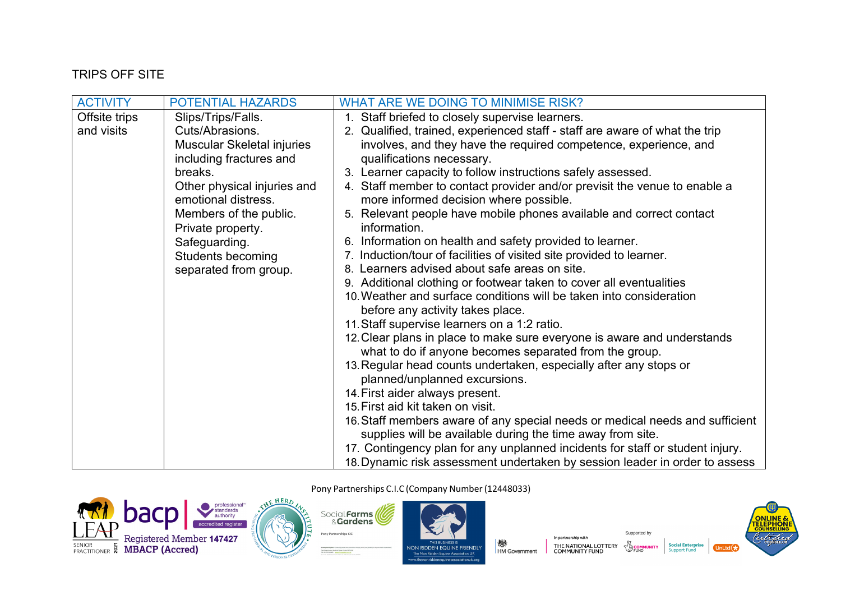# **TRIPS OFF SITE**

| <b>ACTIVITY</b> | POTENTIAL HAZARDS                                  | WHAT ARE WE DOING TO MINIMISE RISK?                                                                                                        |
|-----------------|----------------------------------------------------|--------------------------------------------------------------------------------------------------------------------------------------------|
| Offsite trips   | Slips/Trips/Falls.                                 | 1. Staff briefed to closely supervise learners.                                                                                            |
| and visits      | Cuts/Abrasions.                                    | 2. Qualified, trained, experienced staff - staff are aware of what the trip                                                                |
|                 | Muscular Skeletal injuries                         | involves, and they have the required competence, experience, and                                                                           |
|                 | including fractures and                            | qualifications necessary.                                                                                                                  |
|                 | breaks.                                            | 3. Learner capacity to follow instructions safely assessed.                                                                                |
|                 | Other physical injuries and<br>emotional distress. | 4. Staff member to contact provider and/or previsit the venue to enable a<br>more informed decision where possible.                        |
|                 | Members of the public.<br>Private property.        | 5. Relevant people have mobile phones available and correct contact<br>information.                                                        |
|                 | Safeguarding.                                      | 6. Information on health and safety provided to learner.                                                                                   |
|                 | <b>Students becoming</b>                           | 7. Induction/tour of facilities of visited site provided to learner.                                                                       |
|                 | separated from group.                              | 8. Learners advised about safe areas on site.                                                                                              |
|                 |                                                    | 9. Additional clothing or footwear taken to cover all eventualities                                                                        |
|                 |                                                    | 10. Weather and surface conditions will be taken into consideration<br>before any activity takes place.                                    |
|                 |                                                    | 11. Staff supervise learners on a 1:2 ratio.                                                                                               |
|                 |                                                    | 12. Clear plans in place to make sure everyone is aware and understands                                                                    |
|                 |                                                    | what to do if anyone becomes separated from the group.                                                                                     |
|                 |                                                    | 13. Regular head counts undertaken, especially after any stops or<br>planned/unplanned excursions.                                         |
|                 |                                                    | 14. First aider always present.                                                                                                            |
|                 |                                                    | 15. First aid kit taken on visit.                                                                                                          |
|                 |                                                    | 16. Staff members aware of any special needs or medical needs and sufficient<br>supplies will be available during the time away from site. |
|                 |                                                    | 17. Contingency plan for any unplanned incidents for staff or student injury.                                                              |
|                 |                                                    | 18. Dynamic risk assessment undertaken by session leader in order to assess                                                                |





Pony Partnerships C.I.C (Company Number (12448033)

NON RIDDEN EQUINE FRIENDLY The Non Ridden Equine Association U w.then

**楼**<br>HM Government



**Social Enterprise**<br>Support Fund